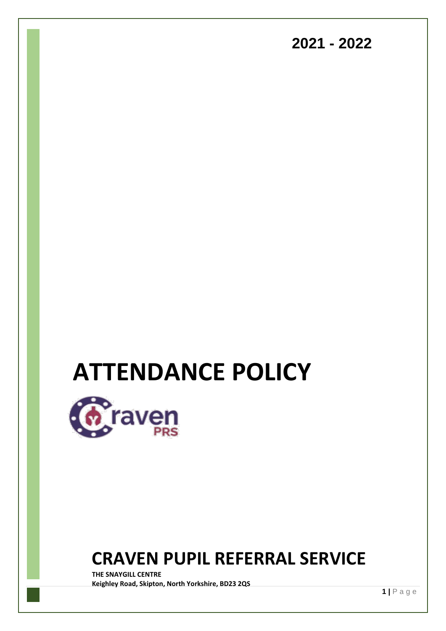### **2021 - 2022**

# **ATTENDANCE POLICY**



## **CRAVEN PUPIL REFERRAL SERVICE**

**THE SNAYGILL CENTRE Keighley Road, Skipton, North Yorkshire, BD23 2QS**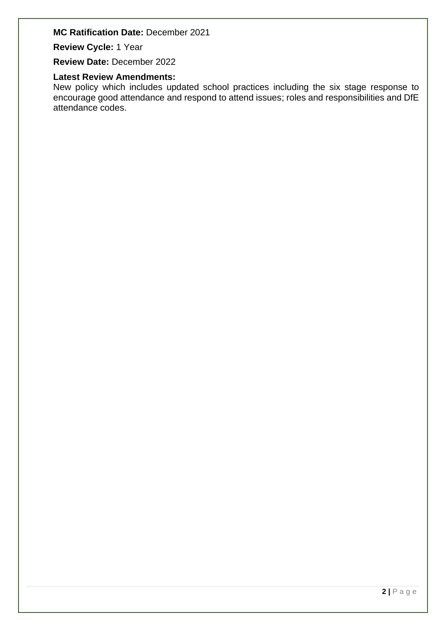#### **MC Ratification Date:** December 2021

**Review Cycle:** 1 Year

**Review Date:** December 2022

#### **Latest Review Amendments:**

New policy which includes updated school practices including the six stage response to encourage good attendance and respond to attend issues; roles and responsibilities and DfE attendance codes.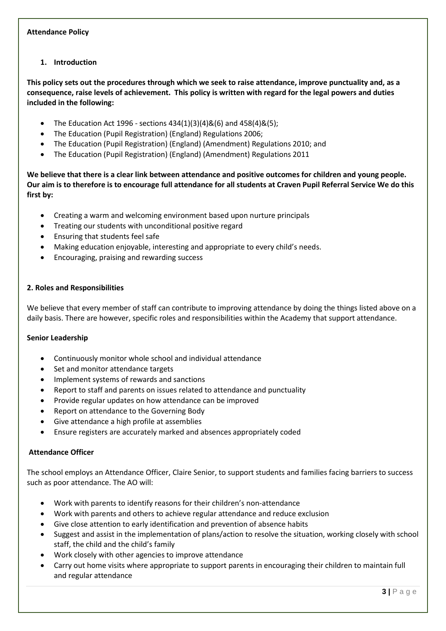#### **Attendance Policy**

#### **1. Introduction**

**This policy sets out the procedures through which we seek to raise attendance, improve punctuality and, as a consequence, raise levels of achievement. This policy is written with regard for the legal powers and duties included in the following:** 

- The Education Act 1996 sections  $434(1)(3)(4)8(6)$  and  $458(4)8(5)$ ;
- The Education (Pupil Registration) (England) Regulations 2006;
- The Education (Pupil Registration) (England) (Amendment) Regulations 2010; and
- The Education (Pupil Registration) (England) (Amendment) Regulations 2011

**We believe that there is a clear link between attendance and positive outcomes for children and young people. Our aim is to therefore is to encourage full attendance for all students at Craven Pupil Referral Service We do this first by:** 

- Creating a warm and welcoming environment based upon nurture principals
- Treating our students with unconditional positive regard
- Ensuring that students feel safe
- Making education enjoyable, interesting and appropriate to every child's needs.
- Encouraging, praising and rewarding success

#### **2. Roles and Responsibilities**

We believe that every member of staff can contribute to improving attendance by doing the things listed above on a daily basis. There are however, specific roles and responsibilities within the Academy that support attendance.

#### **Senior Leadership**

- Continuously monitor whole school and individual attendance
- Set and monitor attendance targets
- Implement systems of rewards and sanctions
- Report to staff and parents on issues related to attendance and punctuality
- Provide regular updates on how attendance can be improved
- Report on attendance to the Governing Body
- Give attendance a high profile at assemblies
- Ensure registers are accurately marked and absences appropriately coded

#### **Attendance Officer**

The school employs an Attendance Officer, Claire Senior, to support students and families facing barriers to success such as poor attendance. The AO will:

- Work with parents to identify reasons for their children's non-attendance
- Work with parents and others to achieve regular attendance and reduce exclusion
- Give close attention to early identification and prevention of absence habits
- Suggest and assist in the implementation of plans/action to resolve the situation, working closely with school staff, the child and the child's family
- Work closely with other agencies to improve attendance
- Carry out home visits where appropriate to support parents in encouraging their children to maintain full and regular attendance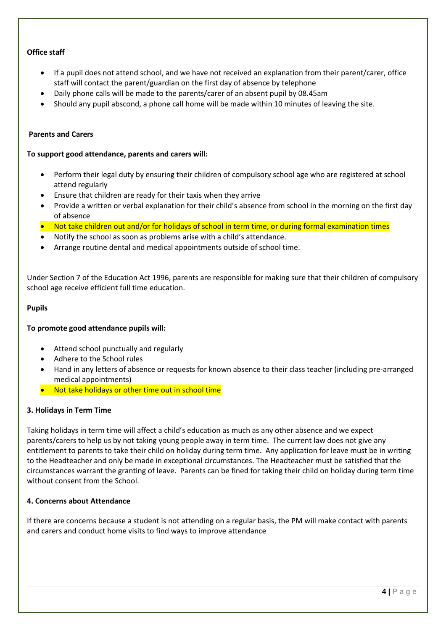#### **Office staff**

- If a pupil does not attend school, and we have not received an explanation from their parent/carer, office staff will contact the parent/guardian on the first day of absence by telephone
- Daily phone calls will be made to the parents/carer of an absent pupil by 08.45am
- Should any pupil abscond, a phone call home will be made within 10 minutes of leaving the site.

#### **Parents and Carers**

#### **To support good attendance, parents and carers will:**

- Perform their legal duty by ensuring their children of compulsory school age who are registered at school attend regularly
- Ensure that children are ready for their taxis when they arrive
- Provide a written or verbal explanation for their child's absence from school in the morning on the first day of absence
- Not take children out and/or for holidays of school in term time, or during formal examination times
- Notify the school as soon as problems arise with a child's attendance.
- Arrange routine dental and medical appointments outside of school time.

Under Section 7 of the Education Act 1996, parents are responsible for making sure that their children of compulsory school age receive efficient full time education.

#### **Pupils**

#### **To promote good attendance pupils will:**

- Attend school punctually and regularly
- Adhere to the School rules
- Hand in any letters of absence or requests for known absence to their class teacher (including pre-arranged medical appointments)
- Not take holidays or other time out in school time

#### **3. Holidays in Term Time**

Taking holidays in term time will affect a child's education as much as any other absence and we expect parents/carers to help us by not taking young people away in term time. The current law does not give any entitlement to parents to take their child on holiday during term time. Any application for leave must be in writing to the Headteacher and only be made in exceptional circumstances. The Headteacher must be satisfied that the circumstances warrant the granting of leave. Parents can be fined for taking their child on holiday during term time without consent from the School.

#### **4. Concerns about Attendance**

If there are concerns because a student is not attending on a regular basis, the PM will make contact with parents and carers and conduct home visits to find ways to improve attendance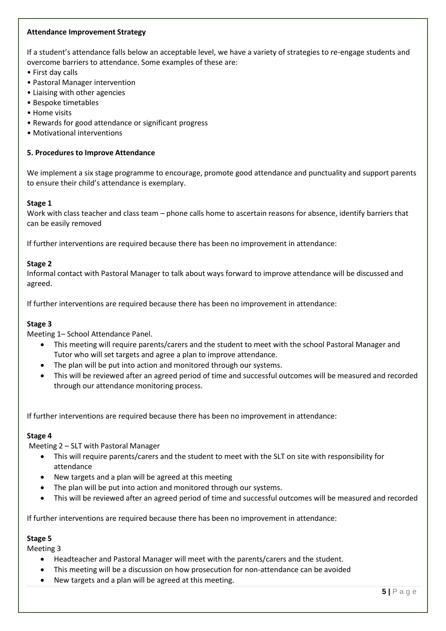#### **Attendance Improvement Strategy**

If a student's attendance falls below an acceptable level, we have a variety of strategies to re-engage students and overcome barriers to attendance. Some examples of these are:

- First day calls
- Pastoral Manager intervention
- Liaising with other agencies
- Bespoke timetables
- Home visits
- Rewards for good attendance or significant progress
- Motivational interventions

#### **5. Procedures to Improve Attendance**

We implement a six stage programme to encourage, promote good attendance and punctuality and support parents to ensure their child's attendance is exemplary.

#### **Stage 1**

Work with class teacher and class team – phone calls home to ascertain reasons for absence, identify barriers that can be easily removed

If further interventions are required because there has been no improvement in attendance:

#### **Stage 2**

Informal contact with Pastoral Manager to talk about ways forward to improve attendance will be discussed and agreed.

If further interventions are required because there has been no improvement in attendance:

#### **Stage 3**

Meeting 1– School Attendance Panel.

- This meeting will require parents/carers and the student to meet with the school Pastoral Manager and Tutor who will set targets and agree a plan to improve attendance.
- The plan will be put into action and monitored through our systems.
- This will be reviewed after an agreed period of time and successful outcomes will be measured and recorded through our attendance monitoring process.

If further interventions are required because there has been no improvement in attendance:

#### **Stage 4**

Meeting 2 – SLT with Pastoral Manager

- This will require parents/carers and the student to meet with the SLT on site with responsibility for attendance
- New targets and a plan will be agreed at this meeting
- The plan will be put into action and monitored through our systems.
- This will be reviewed after an agreed period of time and successful outcomes will be measured and recorded

If further interventions are required because there has been no improvement in attendance:

#### **Stage 5**

Meeting 3

- Headteacher and Pastoral Manager will meet with the parents/carers and the student.
- This meeting will be a discussion on how prosecution for non-attendance can be avoided
- New targets and a plan will be agreed at this meeting.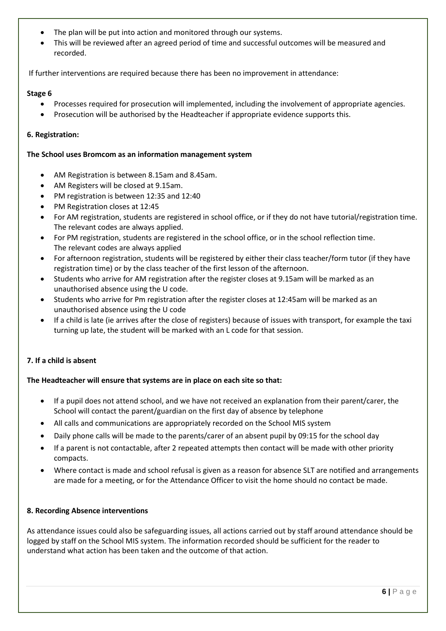- The plan will be put into action and monitored through our systems.
- This will be reviewed after an agreed period of time and successful outcomes will be measured and recorded.

If further interventions are required because there has been no improvement in attendance:

#### **Stage 6**

- Processes required for prosecution will implemented, including the involvement of appropriate agencies.
- Prosecution will be authorised by the Headteacher if appropriate evidence supports this.

#### **6. Registration:**

#### **The School uses Bromcom as an information management system**

- AM Registration is between 8.15am and 8.45am.
- AM Registers will be closed at 9.15am.
- PM registration is between 12:35 and 12:40
- PM Registration closes at 12:45
- For AM registration, students are registered in school office, or if they do not have tutorial/registration time. The relevant codes are always applied.
- For PM registration, students are registered in the school office, or in the school reflection time. The relevant codes are always applied
- For afternoon registration, students will be registered by either their class teacher/form tutor (if they have registration time) or by the class teacher of the first lesson of the afternoon.
- Students who arrive for AM registration after the register closes at 9.15am will be marked as an unauthorised absence using the U code.
- Students who arrive for Pm registration after the register closes at 12:45am will be marked as an unauthorised absence using the U code
- If a child is late (ie arrives after the close of registers) because of issues with transport, for example the taxi turning up late, the student will be marked with an L code for that session.

#### **7. If a child is absent**

#### **The Headteacher will ensure that systems are in place on each site so that:**

- If a pupil does not attend school, and we have not received an explanation from their parent/carer, the School will contact the parent/guardian on the first day of absence by telephone
- All calls and communications are appropriately recorded on the School MIS system
- Daily phone calls will be made to the parents/carer of an absent pupil by 09:15 for the school day
- If a parent is not contactable, after 2 repeated attempts then contact will be made with other priority compacts.
- Where contact is made and school refusal is given as a reason for absence SLT are notified and arrangements are made for a meeting, or for the Attendance Officer to visit the home should no contact be made.

#### **8. Recording Absence interventions**

As attendance issues could also be safeguarding issues, all actions carried out by staff around attendance should be logged by staff on the School MIS system. The information recorded should be sufficient for the reader to understand what action has been taken and the outcome of that action.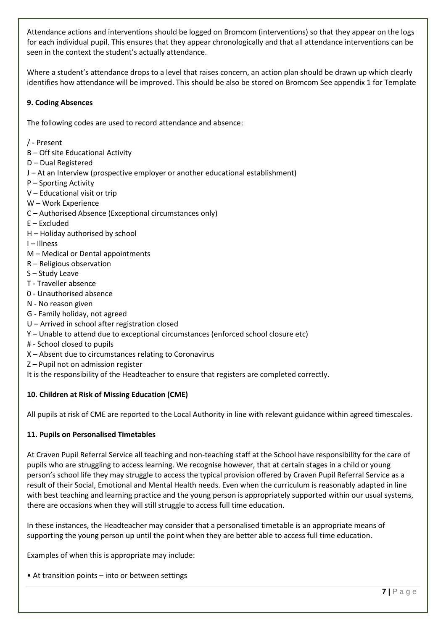Attendance actions and interventions should be logged on Bromcom (interventions) so that they appear on the logs for each individual pupil. This ensures that they appear chronologically and that all attendance interventions can be seen in the context the student's actually attendance.

Where a student's attendance drops to a level that raises concern, an action plan should be drawn up which clearly identifies how attendance will be improved. This should be also be stored on Bromcom See appendix 1 for Template

#### **9. Coding Absences**

The following codes are used to record attendance and absence:

- / Present
- B Off site Educational Activity
- D Dual Registered
- J At an Interview (prospective employer or another educational establishment)
- P Sporting Activity
- V Educational visit or trip
- W Work Experience
- C Authorised Absence (Exceptional circumstances only)
- E Excluded
- H Holiday authorised by school
- I Illness
- M Medical or Dental appointments
- R Religious observation
- S Study Leave
- T Traveller absence
- 0 Unauthorised absence
- N No reason given
- G Family holiday, not agreed
- U Arrived in school after registration closed
- Y Unable to attend due to exceptional circumstances (enforced school closure etc)
- # School closed to pupils
- X Absent due to circumstances relating to Coronavirus
- Z Pupil not on admission register

It is the responsibility of the Headteacher to ensure that registers are completed correctly.

#### **10. Children at Risk of Missing Education (CME)**

All pupils at risk of CME are reported to the Local Authority in line with relevant guidance within agreed timescales.

#### **11. Pupils on Personalised Timetables**

At Craven Pupil Referral Service all teaching and non-teaching staff at the School have responsibility for the care of pupils who are struggling to access learning. We recognise however, that at certain stages in a child or young person's school life they may struggle to access the typical provision offered by Craven Pupil Referral Service as a result of their Social, Emotional and Mental Health needs. Even when the curriculum is reasonably adapted in line with best teaching and learning practice and the young person is appropriately supported within our usual systems, there are occasions when they will still struggle to access full time education.

In these instances, the Headteacher may consider that a personalised timetable is an appropriate means of supporting the young person up until the point when they are better able to access full time education.

Examples of when this is appropriate may include:

• At transition points – into or between settings